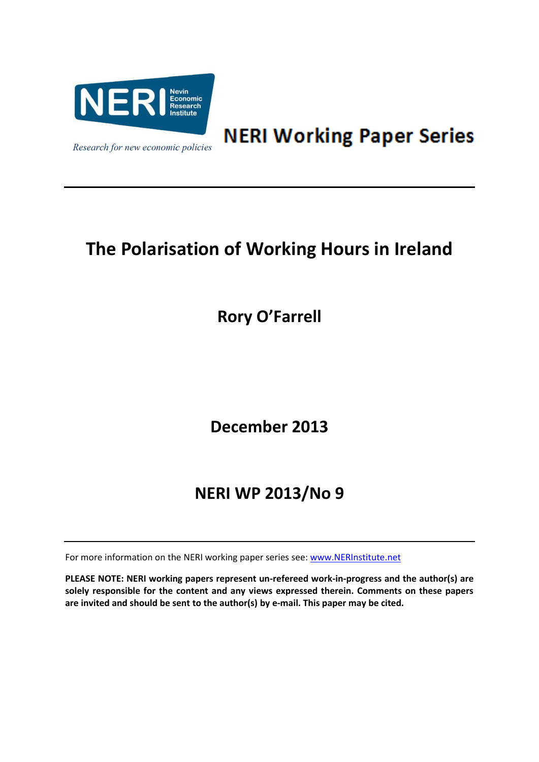

**NERI Working Paper Series** 

# **The Polarisation of Working Hours in Ireland**

**Rory O'Farrell**

**December 2013**

# **NERI WP 2013/No 9**

For more information on the NERI working paper series see: [www.NERInstitute.net](http://www.nerinstitute.net/)

**PLEASE NOTE: NERI working papers represent un-refereed work-in-progress and the author(s) are solely responsible for the content and any views expressed therein. Comments on these papers are invited and should be sent to the author(s) by e-mail. This paper may be cited.**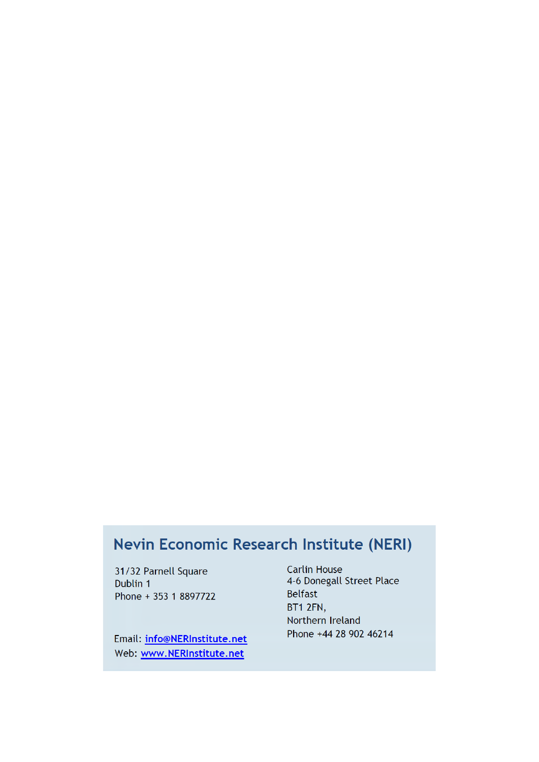# Nevin Economic Research Institute (NERI)

31/32 Parnell Square Dublin 1 Phone + 353 1 8897722

Email: info@NERInstitute.net Web: www.NERInstitute.net

**Carlin House** 4-6 Donegall Street Place **Belfast** BT1 2FN, Northern Ireland Phone +44 28 902 46214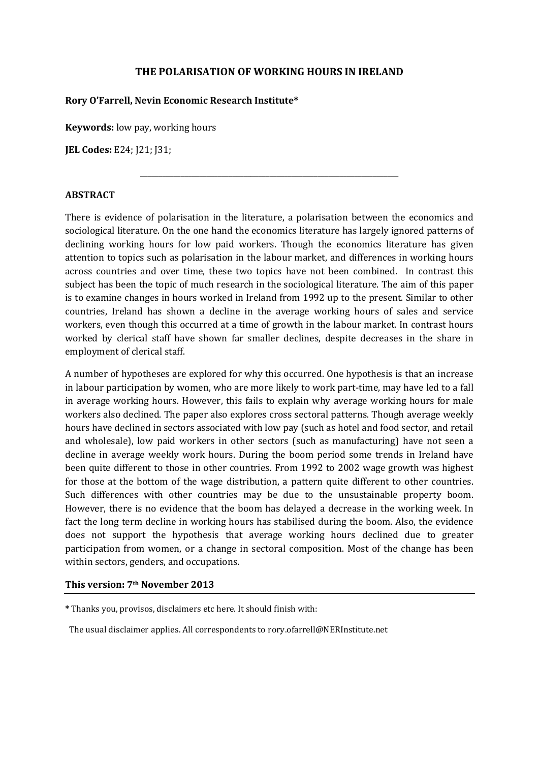# **THE POLARISATION OF WORKING HOURS IN IRELAND**

**\_\_\_\_\_\_\_\_\_\_\_\_\_\_\_\_\_\_\_\_\_\_\_\_\_\_\_\_\_\_\_\_\_\_\_\_\_\_\_\_\_\_\_\_\_\_\_\_\_\_\_\_\_\_\_\_\_\_\_\_\_\_\_\_\_\_\_\_\_\_**

# **Rory O'Farrell, Nevin Economic Research Institute\***

**Keywords:** low pay, working hours

**JEL Codes:** E24; J21; J31;

#### **ABSTRACT**

There is evidence of polarisation in the literature, a polarisation between the economics and sociological literature. On the one hand the economics literature has largely ignored patterns of declining working hours for low paid workers. Though the economics literature has given attention to topics such as polarisation in the labour market, and differences in working hours across countries and over time, these two topics have not been combined. In contrast this subject has been the topic of much research in the sociological literature. The aim of this paper is to examine changes in hours worked in Ireland from 1992 up to the present. Similar to other countries, Ireland has shown a decline in the average working hours of sales and service workers, even though this occurred at a time of growth in the labour market. In contrast hours worked by clerical staff have shown far smaller declines, despite decreases in the share in employment of clerical staff.

A number of hypotheses are explored for why this occurred. One hypothesis is that an increase in labour participation by women, who are more likely to work part-time, may have led to a fall in average working hours. However, this fails to explain why average working hours for male workers also declined. The paper also explores cross sectoral patterns. Though average weekly hours have declined in sectors associated with low pay (such as hotel and food sector, and retail and wholesale), low paid workers in other sectors (such as manufacturing) have not seen a decline in average weekly work hours. During the boom period some trends in Ireland have been quite different to those in other countries. From 1992 to 2002 wage growth was highest for those at the bottom of the wage distribution, a pattern quite different to other countries. Such differences with other countries may be due to the unsustainable property boom. However, there is no evidence that the boom has delayed a decrease in the working week. In fact the long term decline in working hours has stabilised during the boom. Also, the evidence does not support the hypothesis that average working hours declined due to greater participation from women, or a change in sectoral composition. Most of the change has been within sectors, genders, and occupations.

#### **This version: 7th November 2013**

**<sup>\*</sup>** Thanks you, provisos, disclaimers etc here. It should finish with:

The usual disclaimer applies. All correspondents to rory.ofarrell@NERInstitute.net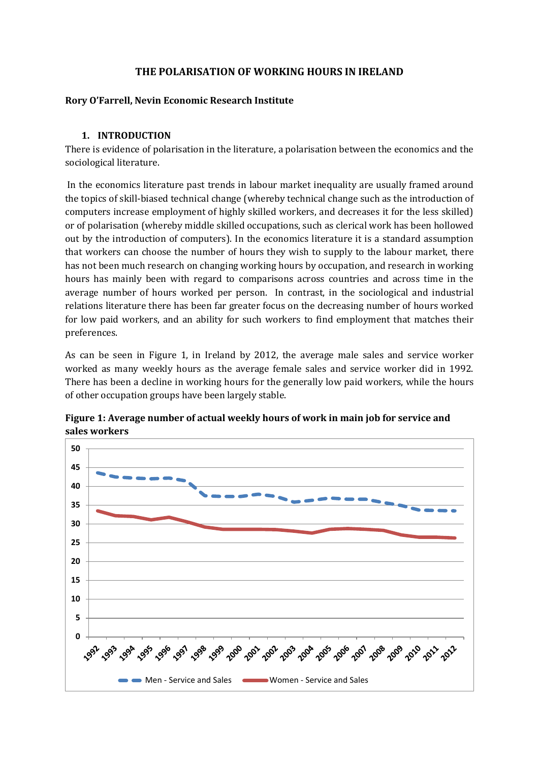# **THE POLARISATION OF WORKING HOURS IN IRELAND**

## **Rory O'Farrell, Nevin Economic Research Institute**

## **1. INTRODUCTION**

There is evidence of polarisation in the literature, a polarisation between the economics and the sociological literature.

In the economics literature past trends in labour market inequality are usually framed around the topics of skill-biased technical change (whereby technical change such as the introduction of computers increase employment of highly skilled workers, and decreases it for the less skilled) or of polarisation (whereby middle skilled occupations, such as clerical work has been hollowed out by the introduction of computers). In the economics literature it is a standard assumption that workers can choose the number of hours they wish to supply to the labour market, there has not been much research on changing working hours by occupation, and research in working hours has mainly been with regard to comparisons across countries and across time in the average number of hours worked per person. In contrast, in the sociological and industrial relations literature there has been far greater focus on the decreasing number of hours worked for low paid workers, and an ability for such workers to find employment that matches their preferences.

As can be seen in Figure 1, in Ireland by 2012, the average male sales and service worker worked as many weekly hours as the average female sales and service worker did in 1992. There has been a decline in working hours for the generally low paid workers, while the hours of other occupation groups have been largely stable.



**Figure 1: Average number of actual weekly hours of work in main job for service and sales workers**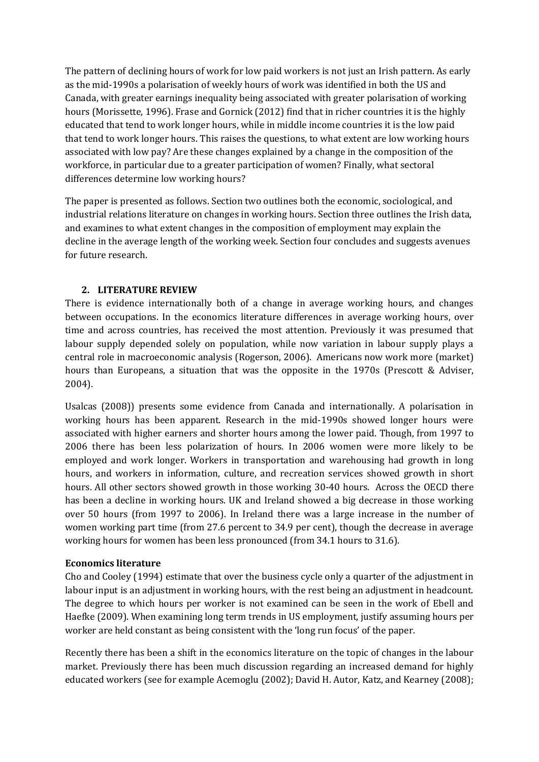The pattern of declining hours of work for low paid workers is not just an Irish pattern. As early as the mid-1990s a polarisation of weekly hours of work was identified in both the US and Canada, with greater earnings inequality being associated with greater polarisation of working hours [\(Morissette, 1996\)](#page-18-0). [Frase and Gornick \(2012\)](#page-17-0) find that in richer countries it is the highly educated that tend to work longer hours, while in middle income countries it is the low paid that tend to work longer hours. This raises the questions, to what extent are low working hours associated with low pay? Are these changes explained by a change in the composition of the workforce, in particular due to a greater participation of women? Finally, what sectoral differences determine low working hours?

The paper is presented as follows. Section two outlines both the economic, sociological, and industrial relations literature on changes in working hours. Section three outlines the Irish data, and examines to what extent changes in the composition of employment may explain the decline in the average length of the working week. Section four concludes and suggests avenues for future research.

# **2. LITERATURE REVIEW**

There is evidence internationally both of a change in average working hours, and changes between occupations. In the economics literature differences in average working hours, over time and across countries, has received the most attention. Previously it was presumed that labour supply depended solely on population, while now variation in labour supply plays a central role in macroeconomic analysis [\(Rogerson, 2006\)](#page-18-1). Americans now work more (market) hours than Europeans, a situation that was the opposite in the 1970s [\(Prescott & Adviser,](#page-18-2)  [2004\)](#page-18-2).

[Usalcas \(2008\)](#page-18-3)) presents some evidence from Canada and internationally. A polarisation in working hours has been apparent. Research in the mid-1990s showed longer hours were associated with higher earners and shorter hours among the lower paid. Though, from 1997 to 2006 there has been less polarization of hours. In 2006 women were more likely to be employed and work longer. Workers in transportation and warehousing had growth in long hours, and workers in information, culture, and recreation services showed growth in short hours. All other sectors showed growth in those working 30-40 hours. Across the OECD there has been a decline in working hours. UK and Ireland showed a big decrease in those working over 50 hours (from 1997 to 2006). In Ireland there was a large increase in the number of women working part time (from 27.6 percent to 34.9 per cent), though the decrease in average working hours for women has been less pronounced (from 34.1 hours to 31.6).

# **Economics literature**

[Cho and Cooley \(1994\)](#page-16-0) estimate that over the business cycle only a quarter of the adjustment in labour input is an adjustment in working hours, with the rest being an adjustment in headcount. The degree to which hours per worker is not examined can be seen in the work of [Ebell and](#page-17-1)  [Haefke \(2009\)](#page-17-1). When examining long term trends in US employment, justify assuming hours per worker are held constant as being consistent with the 'long run focus' of the paper.

Recently there has been a shift in the economics literature on the topic of changes in the labour market. Previously there has been much discussion regarding an increased demand for highly educated workers (see for exampl[e Acemoglu \(2002\)](#page-16-1)[; David H. Autor, Katz, and Kearney \(2008\)](#page-16-2);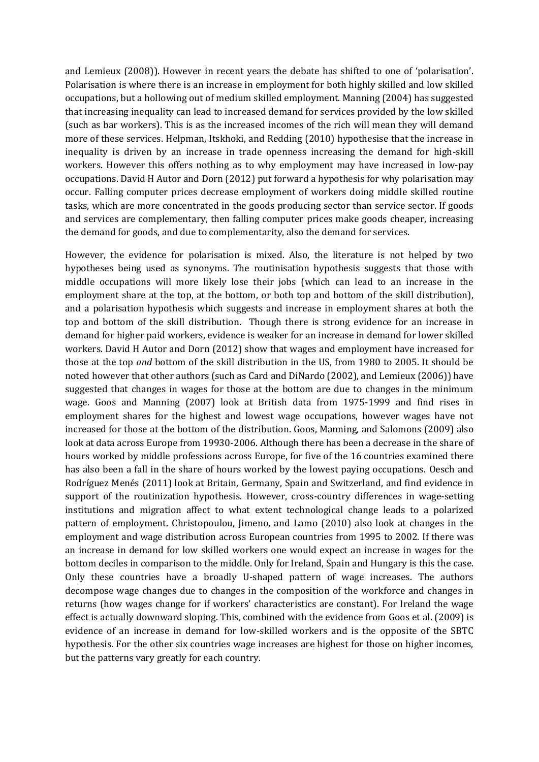and [Lemieux \(2008\)](#page-17-2)). However in recent years the debate has shifted to one of 'polarisation'. Polarisation is where there is an increase in employment for both highly skilled and low skilled occupations, but a hollowing out of medium skilled employment. [Manning \(2004\)](#page-17-3) has suggested that increasing inequality can lead to increased demand for services provided by the low skilled (such as bar workers). This is as the increased incomes of the rich will mean they will demand more of these services. [Helpman, Itskhoki, and Redding \(2010\)](#page-17-4) hypothesise that the increase in inequality is driven by an increase in trade openness increasing the demand for high-skill workers. However this offers nothing as to why employment may have increased in low-pay occupations. [David H Autor and Dorn \(2012\)](#page-16-3) put forward a hypothesis for why polarisation may occur. Falling computer prices decrease employment of workers doing middle skilled routine tasks, which are more concentrated in the goods producing sector than service sector. If goods and services are complementary, then falling computer prices make goods cheaper, increasing the demand for goods, and due to complementarity, also the demand for services.

However, the evidence for polarisation is mixed. Also, the literature is not helped by two hypotheses being used as synonyms. The routinisation hypothesis suggests that those with middle occupations will more likely lose their jobs (which can lead to an increase in the employment share at the top, at the bottom, or both top and bottom of the skill distribution), and a polarisation hypothesis which suggests and increase in employment shares at both the top and bottom of the skill distribution. Though there is strong evidence for an increase in demand for higher paid workers, evidence is weaker for an increase in demand for lower skilled workers. [David H Autor and Dorn \(2012\)](#page-16-3) show that wages and employment have increased for those at the top *and* bottom of the skill distribution in the US, from 1980 to 2005. It should be noted however that other authors (such as [Card and DiNardo \(2002\)](#page-16-4), and [Lemieux \(2006\)](#page-17-5)) have suggested that changes in wages for those at the bottom are due to changes in the minimum wage. [Goos and Manning \(2007\)](#page-17-6) look at British data from 1975-1999 and find rises in employment shares for the highest and lowest wage occupations, however wages have not increased for those at the bottom of the distribution. [Goos, Manning, and Salomons \(2009\)](#page-17-7) also look at data across Europe from 19930-2006. Although there has been a decrease in the share of hours worked by middle professions across Europe, for five of the 16 countries examined there has also been a fall in the share of hours worked by the lowest paying occupations. [Oesch and](#page-18-4)  [Rodríguez Menés \(2011\)](#page-18-4) look at Britain, Germany, Spain and Switzerland, and find evidence in support of the routinization hypothesis. However, cross-country differences in wage-setting institutions and migration affect to what extent technological change leads to a polarized pattern of employment. [Christopoulou, Jimeno, and Lamo \(2010\)](#page-17-8) also look at changes in the employment and wage distribution across European countries from 1995 to 2002. If there was an increase in demand for low skilled workers one would expect an increase in wages for the bottom deciles in comparison to the middle. Only for Ireland, Spain and Hungary is this the case. Only these countries have a broadly U-shaped pattern of wage increases. The authors decompose wage changes due to changes in the composition of the workforce and changes in returns (how wages change for if workers' characteristics are constant). For Ireland the wage effect is actually downward sloping. This, combined with the evidence from [Goos et al. \(2009\)](#page-17-7) is evidence of an increase in demand for low-skilled workers and is the opposite of the SBTC hypothesis. For the other six countries wage increases are highest for those on higher incomes, but the patterns vary greatly for each country.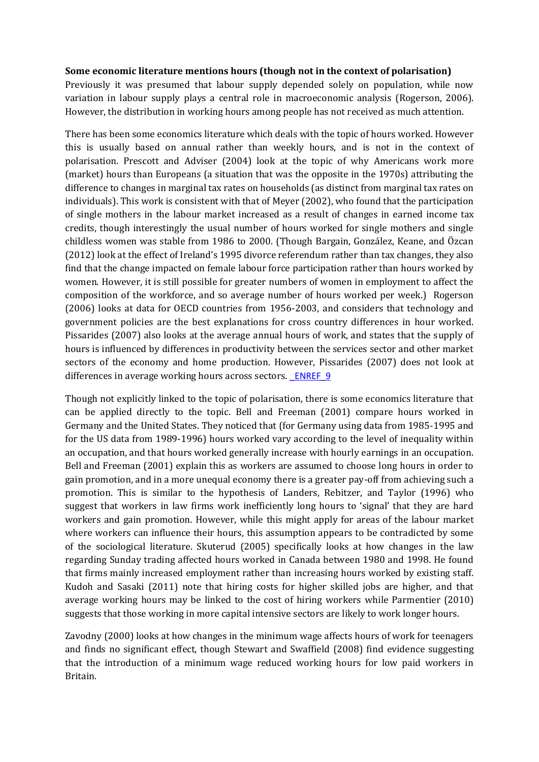#### **Some economic literature mentions hours (though not in the context of polarisation)**

Previously it was presumed that labour supply depended solely on population, while now variation in labour supply plays a central role in macroeconomic analysis [\(Rogerson, 2006\)](#page-18-1). However, the distribution in working hours among people has not received as much attention.

There has been some economics literature which deals with the topic of hours worked. However this is usually based on annual rather than weekly hours, and is not in the context of polarisation. [Prescott and Adviser \(2004\)](#page-18-2) look at the topic of why Americans work more (market) hours than Europeans (a situation that was the opposite in the 1970s) attributing the difference to changes in marginal tax rates on households (as distinct from marginal tax rates on individuals). This work is consistent with that of [Meyer \(2002\)](#page-17-9), who found that the participation of single mothers in the labour market increased as a result of changes in earned income tax credits, though interestingly the usual number of hours worked for single mothers and single childless women was stable from 1986 to 2000. (Though [Bargain, González, Keane, and Özcan](#page-16-5)  [\(2012\)](#page-16-5) look at the effect of Ireland's 1995 divorce referendum rather than tax changes, they also find that the change impacted on female labour force participation rather than hours worked by women. However, it is still possible for greater numbers of women in employment to affect the composition of the workforce, and so average number of hours worked per week.) [Rogerson](#page-18-1)  [\(2006\)](#page-18-1) looks at data for OECD countries from 1956-2003, and considers that technology and government policies are the best explanations for cross country differences in hour worked. [Pissarides \(2007\)](#page-18-5) also looks at the average annual hours of work, and states that the supply of hours is influenced by differences in productivity between the services sector and other market sectors of the economy and home production. However, [Pissarides \(2007\)](#page-18-5) does not look at differences in average working hours across sectors. ENREF 9

Though not explicitly linked to the topic of polarisation, there is some economics literature that can be applied directly to the topic. [Bell and Freeman \(2001\)](#page-16-6) compare hours worked in Germany and the United States. They noticed that (for Germany using data from 1985-1995 and for the US data from 1989-1996) hours worked vary according to the level of inequality within an occupation, and that hours worked generally increase with hourly earnings in an occupation. [Bell and Freeman \(2001\)](#page-16-6) explain this as workers are assumed to choose long hours in order to gain promotion, and in a more unequal economy there is a greater pay-off from achieving such a promotion. This is similar to the hypothesis of [Landers, Rebitzer, and Taylor \(1996\)](#page-17-10) who suggest that workers in law firms work inefficiently long hours to 'signal' that they are hard workers and gain promotion. However, while this might apply for areas of the labour market where workers can influence their hours, this assumption appears to be contradicted by some of the sociological literature. [Skuterud \(2005\)](#page-18-6) specifically looks at how changes in the law regarding Sunday trading affected hours worked in Canada between 1980 and 1998. He found that firms mainly increased employment rather than increasing hours worked by existing staff. [Kudoh and Sasaki \(2011\)](#page-17-11) note that hiring costs for higher skilled jobs are higher, and that average working hours may be linked to the cost of hiring workers while [Parmentier \(2010\)](#page-18-7) suggests that those working in more capital intensive sectors are likely to work longer hours.

[Zavodny \(2000\)](#page-18-8) looks at how changes in the minimum wage affects hours of work for teenagers and finds no significant effect, though [Stewart and Swaffield \(2008\)](#page-18-9) find evidence suggesting that the introduction of a minimum wage reduced working hours for low paid workers in Britain.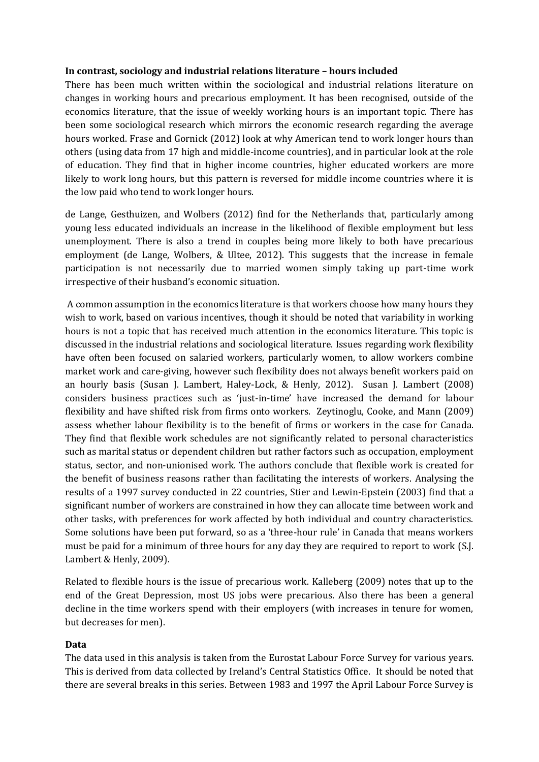#### **In contrast, sociology and industrial relations literature – hours included**

There has been much written within the sociological and industrial relations literature on changes in working hours and precarious employment. It has been recognised, outside of the economics literature, that the issue of weekly working hours is an important topic. There has been some sociological research which mirrors the economic research regarding the average hours worked. [Frase and Gornick \(2012\)](#page-17-0) look at why American tend to work longer hours than others (using data from 17 high and middle-income countries), and in particular look at the role of education. They find that in higher income countries, higher educated workers are more likely to work long hours, but this pattern is reversed for middle income countries where it is the low paid who tend to work longer hours.

[de Lange, Gesthuizen, and Wolbers \(2012\)](#page-17-12) find for the Netherlands that, particularly among young less educated individuals an increase in the likelihood of flexible employment but less unemployment. There is also a trend in couples being more likely to both have precarious employment [\(de Lange, Wolbers, & Ultee, 2012\)](#page-17-13). This suggests that the increase in female participation is not necessarily due to married women simply taking up part-time work irrespective of their husband's economic situation.

A common assumption in the economics literature is that workers choose how many hours they wish to work, based on various incentives, though it should be noted that variability in working hours is not a topic that has received much attention in the economics literature. This topic is discussed in the industrial relations and sociological literature. Issues regarding work flexibility have often been focused on salaried workers, particularly women, to allow workers combine market work and care-giving, however such flexibility does not always benefit workers paid on an hourly basis [\(Susan J. Lambert, Haley-Lock, & Henly, 2012\)](#page-17-14). [Susan J. Lambert \(2008\)](#page-17-15) considers business practices such as 'just-in-time' have increased the demand for labour flexibility and have shifted risk from firms onto workers. [Zeytinoglu, Cooke, and Mann \(2009\)](#page-18-10) assess whether labour flexibility is to the benefit of firms or workers in the case for Canada. They find that flexible work schedules are not significantly related to personal characteristics such as marital status or dependent children but rather factors such as occupation, employment status, sector, and non-unionised work. The authors conclude that flexible work is created for the benefit of business reasons rather than facilitating the interests of workers. Analysing the results of a 1997 survey conducted in 22 countries, [Stier and Lewin-Epstein \(2003\)](#page-18-11) find that a significant number of workers are constrained in how they can allocate time between work and other tasks, with preferences for work affected by both individual and country characteristics. Some solutions have been put forward, so as a 'three-hour rule' in Canada that means workers must be paid for a minimum of three hours for any day they are required to report to work [\(S.J.](#page-17-16)  [Lambert & Henly, 2009\)](#page-17-16).

Related to flexible hours is the issue of precarious work. [Kalleberg \(2009\)](#page-17-17) notes that up to the end of the Great Depression, most US jobs were precarious. Also there has been a general decline in the time workers spend with their employers (with increases in tenure for women, but decreases for men).

# **Data**

The data used in this analysis is taken from the Eurostat Labour Force Survey for various years. This is derived from data collected by Ireland's Central Statistics Office. It should be noted that there are several breaks in this series. Between 1983 and 1997 the April Labour Force Survey is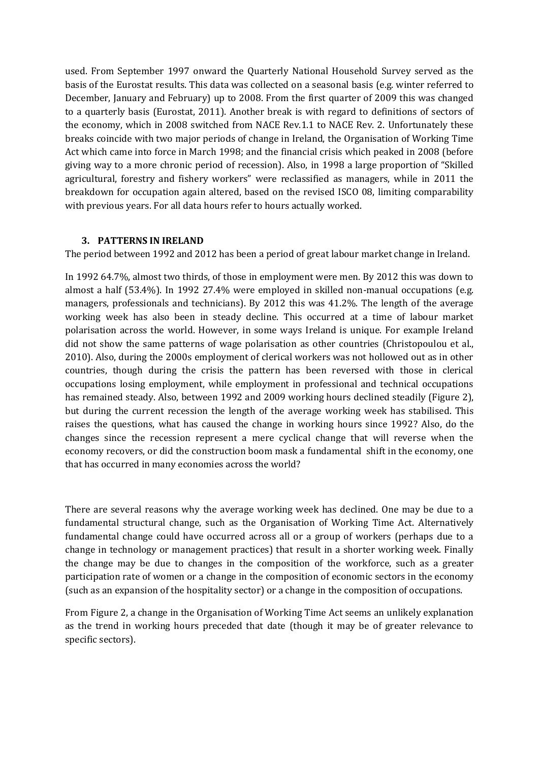used. From September 1997 onward the Quarterly National Household Survey served as the basis of the Eurostat results. This data was collected on a seasonal basis (e.g. winter referred to December, January and February) up to 2008. From the first quarter of 2009 this was changed to a quarterly basis [\(Eurostat, 2011\)](#page-17-18). Another break is with regard to definitions of sectors of the economy, which in 2008 switched from NACE Rev.1.1 to NACE Rev. 2. Unfortunately these breaks coincide with two major periods of change in Ireland, the Organisation of Working Time Act which came into force in March 1998; and the financial crisis which peaked in 2008 (before giving way to a more chronic period of recession). Also, in 1998 a large proportion of "Skilled agricultural, forestry and fishery workers" were reclassified as managers, while in 2011 the breakdown for occupation again altered, based on the revised ISCO 08, limiting comparability with previous years. For all data hours refer to hours actually worked.

#### **3. PATTERNS IN IRELAND**

The period between 1992 and 2012 has been a period of great labour market change in Ireland.

In 1992 64.7%, almost two thirds, of those in employment were men. By 2012 this was down to almost a half (53.4%). In 1992 27.4% were employed in skilled non-manual occupations (e.g. managers, professionals and technicians). By 2012 this was 41.2%. The length of the average working week has also been in steady decline. This occurred at a time of labour market polarisation across the world. However, in some ways Ireland is unique. For example Ireland did not show the same patterns of wage polarisation as other countries [\(Christopoulou et al.,](#page-17-8)  [2010\)](#page-17-8). Also, during the 2000s employment of clerical workers was not hollowed out as in other countries, though during the crisis the pattern has been reversed with those in clerical occupations losing employment, while employment in professional and technical occupations has remained steady. Also, between 1992 and 2009 working hours declined steadily (Figure 2), but during the current recession the length of the average working week has stabilised. This raises the questions, what has caused the change in working hours since 1992? Also, do the changes since the recession represent a mere cyclical change that will reverse when the economy recovers, or did the construction boom mask a fundamental shift in the economy, one that has occurred in many economies across the world?

There are several reasons why the average working week has declined. One may be due to a fundamental structural change, such as the Organisation of Working Time Act. Alternatively fundamental change could have occurred across all or a group of workers (perhaps due to a change in technology or management practices) that result in a shorter working week. Finally the change may be due to changes in the composition of the workforce, such as a greater participation rate of women or a change in the composition of economic sectors in the economy (such as an expansion of the hospitality sector) or a change in the composition of occupations.

From Figure 2, a change in the Organisation of Working Time Act seems an unlikely explanation as the trend in working hours preceded that date (though it may be of greater relevance to specific sectors).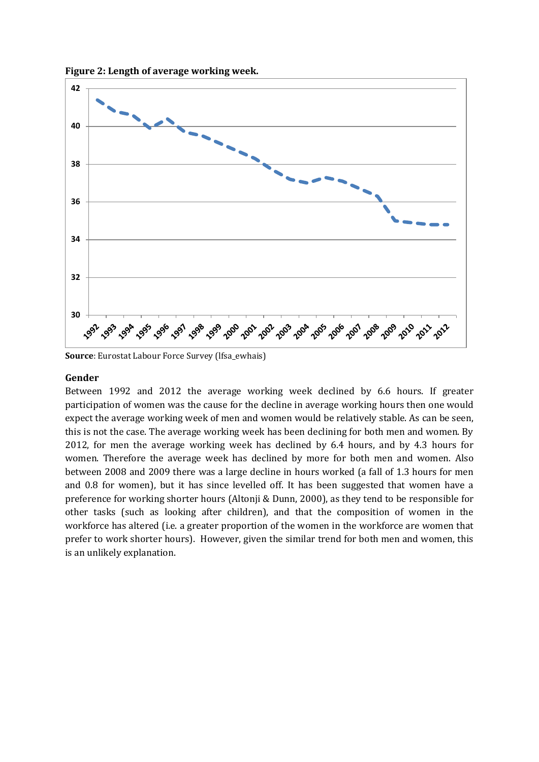**Figure 2: Length of average working week.**



**Source**: Eurostat Labour Force Survey (lfsa\_ewhais)

#### **Gender**

Between 1992 and 2012 the average working week declined by 6.6 hours. If greater participation of women was the cause for the decline in average working hours then one would expect the average working week of men and women would be relatively stable. As can be seen, this is not the case. The average working week has been declining for both men and women. By 2012, for men the average working week has declined by 6.4 hours, and by 4.3 hours for women. Therefore the average week has declined by more for both men and women. Also between 2008 and 2009 there was a large decline in hours worked (a fall of 1.3 hours for men and 0.8 for women), but it has since levelled off. It has been suggested that women have a preference for working shorter hours [\(Altonji & Dunn, 2000\)](#page-16-7), as they tend to be responsible for other tasks (such as looking after children), and that the composition of women in the workforce has altered (i.e. a greater proportion of the women in the workforce are women that prefer to work shorter hours). However, given the similar trend for both men and women, this is an unlikely explanation.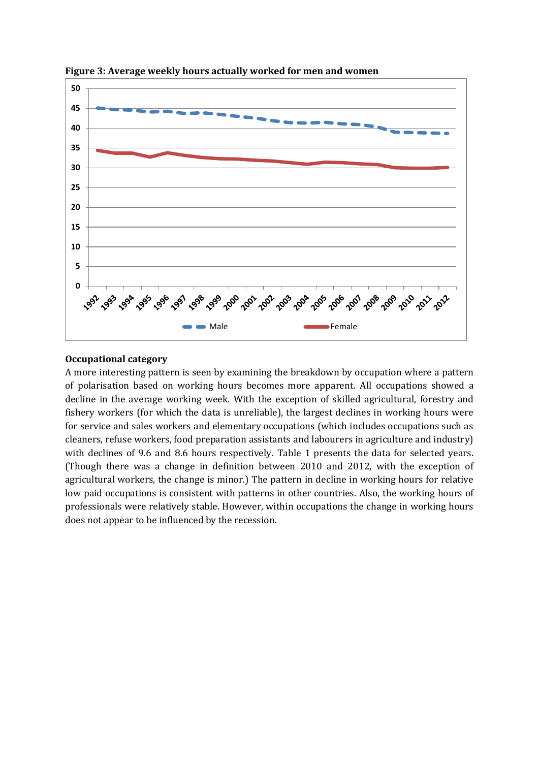

**Figure 3: Average weekly hours actually worked for men and women**

#### **Occupational category**

A more interesting pattern is seen by examining the breakdown by occupation where a pattern of polarisation based on working hours becomes more apparent. All occupations showed a decline in the average working week. With the exception of skilled agricultural, forestry and fishery workers (for which the data is unreliable), the largest declines in working hours were for service and sales workers and elementary occupations (which includes occupations such as cleaners, refuse workers, food preparation assistants and labourers in agriculture and industry) with declines of 9.6 and 8.6 hours respectively. Table 1 presents the data for selected years. (Though there was a change in definition between 2010 and 2012, with the exception of agricultural workers, the change is minor.) The pattern in decline in working hours for relative low paid occupations is consistent with patterns in other countries. Also, the working hours of professionals were relatively stable. However, within occupations the change in working hours does not appear to be influenced by the recession.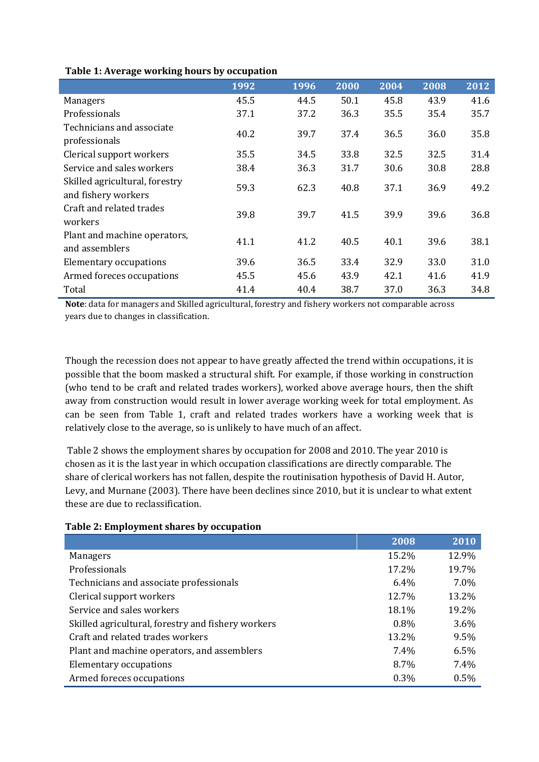|                                                       | 1992 | 1996 | 2000 | 2004 | 2008 | 2012 |
|-------------------------------------------------------|------|------|------|------|------|------|
| Managers                                              | 45.5 | 44.5 | 50.1 | 45.8 | 43.9 | 41.6 |
| Professionals                                         | 37.1 | 37.2 | 36.3 | 35.5 | 35.4 | 35.7 |
| Technicians and associate<br>professionals            | 40.2 | 39.7 | 37.4 | 36.5 | 36.0 | 35.8 |
| Clerical support workers                              | 35.5 | 34.5 | 33.8 | 32.5 | 32.5 | 31.4 |
| Service and sales workers                             | 38.4 | 36.3 | 31.7 | 30.6 | 30.8 | 28.8 |
| Skilled agricultural, forestry<br>and fishery workers | 59.3 | 62.3 | 40.8 | 37.1 | 36.9 | 49.2 |
| Craft and related trades<br>workers                   | 39.8 | 39.7 | 41.5 | 39.9 | 39.6 | 36.8 |
| Plant and machine operators,<br>and assemblers        | 41.1 | 41.2 | 40.5 | 40.1 | 39.6 | 38.1 |
| <b>Elementary occupations</b>                         | 39.6 | 36.5 | 33.4 | 32.9 | 33.0 | 31.0 |
| Armed foreces occupations                             | 45.5 | 45.6 | 43.9 | 42.1 | 41.6 | 41.9 |
| Total                                                 | 41.4 | 40.4 | 38.7 | 37.0 | 36.3 | 34.8 |

## **Table 1: Average working hours by occupation**

**Note**: data for managers and Skilled agricultural, forestry and fishery workers not comparable across years due to changes in classification.

Though the recession does not appear to have greatly affected the trend within occupations, it is possible that the boom masked a structural shift. For example, if those working in construction (who tend to be craft and related trades workers), worked above average hours, then the shift away from construction would result in lower average working week for total employment. As can be seen from Table 1, craft and related trades workers have a working week that is relatively close to the average, so is unlikely to have much of an affect.

Table 2 shows the employment shares by occupation for 2008 and 2010. The year 2010 is chosen as it is the last year in which occupation classifications are directly comparable. The share of clerical workers has not fallen, despite the routinisation hypothesis of [David H. Autor,](#page-16-8)  [Levy, and Murnane \(2003\)](#page-16-8). There have been declines since 2010, but it is unclear to what extent these are due to reclassification.

|                                                    | 2008    | 2010  |
|----------------------------------------------------|---------|-------|
| <b>Managers</b>                                    | 15.2%   | 12.9% |
| Professionals                                      | 17.2%   | 19.7% |
| Technicians and associate professionals            | $6.4\%$ | 7.0%  |
| Clerical support workers                           | 12.7%   | 13.2% |
| Service and sales workers                          | 18.1%   | 19.2% |
| Skilled agricultural, forestry and fishery workers | 0.8%    | 3.6%  |
| Craft and related trades workers                   | 13.2%   | 9.5%  |
| Plant and machine operators, and assemblers        | $7.4\%$ | 6.5%  |
| Elementary occupations                             | 8.7%    | 7.4%  |
| Armed foreces occupations                          | $0.3\%$ | 0.5%  |

# **Table 2: Employment shares by occupation**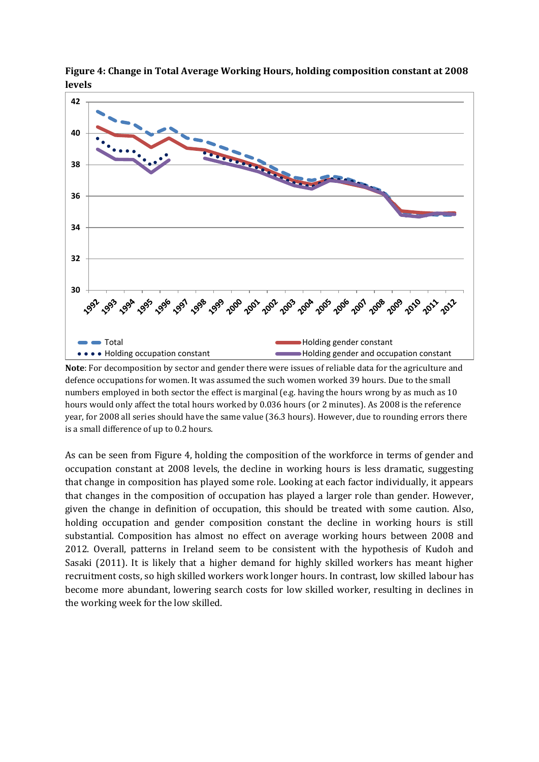

**Figure 4: Change in Total Average Working Hours, holding composition constant at 2008 levels**

**Note**: For decomposition by sector and gender there were issues of reliable data for the agriculture and defence occupations for women. It was assumed the such women worked 39 hours. Due to the small numbers employed in both sector the effect is marginal (e.g. having the hours wrong by as much as 10 hours would only affect the total hours worked by 0.036 hours (or 2 minutes). As 2008 is the reference year, for 2008 all series should have the same value (36.3 hours). However, due to rounding errors there is a small difference of up to 0.2 hours.

As can be seen from Figure 4, holding the composition of the workforce in terms of gender and occupation constant at 2008 levels, the decline in working hours is less dramatic, suggesting that change in composition has played some role. Looking at each factor individually, it appears that changes in the composition of occupation has played a larger role than gender. However, given the change in definition of occupation, this should be treated with some caution. Also, holding occupation and gender composition constant the decline in working hours is still substantial. Composition has almost no effect on average working hours between 2008 and 2012. Overall, patterns in Ireland seem to be consistent with the hypothesis of [Kudoh and](#page-17-11)  [Sasaki \(2011\)](#page-17-11). It is likely that a higher demand for highly skilled workers has meant higher recruitment costs, so high skilled workers work longer hours. In contrast, low skilled labour has become more abundant, lowering search costs for low skilled worker, resulting in declines in the working week for the low skilled.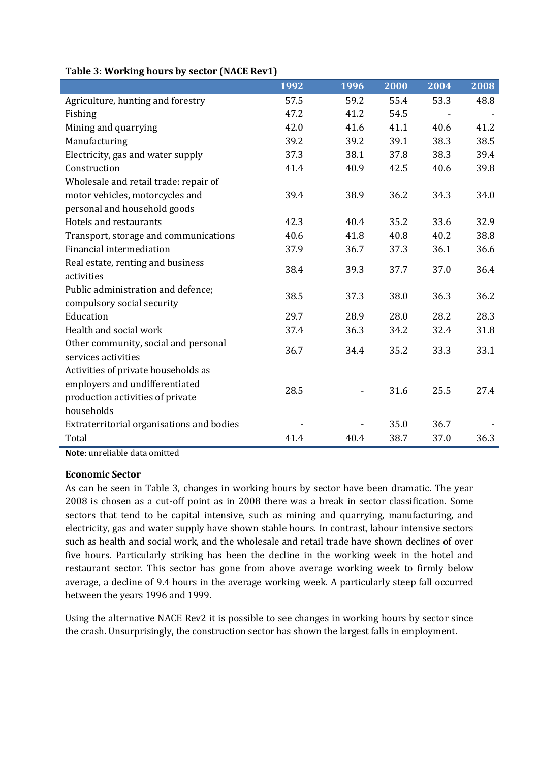|                                           | 1992 | 1996 | 2000 | 2004 | 2008 |
|-------------------------------------------|------|------|------|------|------|
| Agriculture, hunting and forestry         | 57.5 | 59.2 | 55.4 | 53.3 | 48.8 |
| Fishing                                   | 47.2 | 41.2 | 54.5 |      |      |
| Mining and quarrying                      | 42.0 | 41.6 | 41.1 | 40.6 | 41.2 |
| Manufacturing                             | 39.2 | 39.2 | 39.1 | 38.3 | 38.5 |
| Electricity, gas and water supply         | 37.3 | 38.1 | 37.8 | 38.3 | 39.4 |
| Construction                              | 41.4 | 40.9 | 42.5 | 40.6 | 39.8 |
| Wholesale and retail trade: repair of     |      |      |      |      |      |
| motor vehicles, motorcycles and           | 39.4 | 38.9 | 36.2 | 34.3 | 34.0 |
| personal and household goods              |      |      |      |      |      |
| Hotels and restaurants                    | 42.3 | 40.4 | 35.2 | 33.6 | 32.9 |
| Transport, storage and communications     | 40.6 | 41.8 | 40.8 | 40.2 | 38.8 |
| Financial intermediation                  | 37.9 | 36.7 | 37.3 | 36.1 | 36.6 |
| Real estate, renting and business         | 38.4 | 39.3 | 37.7 | 37.0 | 36.4 |
| activities                                |      |      |      |      |      |
| Public administration and defence;        | 38.5 | 37.3 | 38.0 | 36.3 | 36.2 |
| compulsory social security                |      |      |      |      |      |
| Education                                 | 29.7 | 28.9 | 28.0 | 28.2 | 28.3 |
| Health and social work                    | 37.4 | 36.3 | 34.2 | 32.4 | 31.8 |
| Other community, social and personal      | 36.7 | 34.4 | 35.2 | 33.3 | 33.1 |
| services activities                       |      |      |      |      |      |
| Activities of private households as       |      |      |      |      |      |
| employers and undifferentiated            | 28.5 |      | 31.6 | 25.5 | 27.4 |
| production activities of private          |      |      |      |      |      |
| households                                |      |      |      |      |      |
| Extraterritorial organisations and bodies |      |      | 35.0 | 36.7 |      |
| Total                                     | 41.4 | 40.4 | 38.7 | 37.0 | 36.3 |

# **Table 3: Working hours by sector (NACE Rev1)**

**Note**: unreliable data omitted

# **Economic Sector**

As can be seen in Table 3, changes in working hours by sector have been dramatic. The year 2008 is chosen as a cut-off point as in 2008 there was a break in sector classification. Some sectors that tend to be capital intensive, such as mining and quarrying, manufacturing, and electricity, gas and water supply have shown stable hours. In contrast, labour intensive sectors such as health and social work, and the wholesale and retail trade have shown declines of over five hours. Particularly striking has been the decline in the working week in the hotel and restaurant sector. This sector has gone from above average working week to firmly below average, a decline of 9.4 hours in the average working week. A particularly steep fall occurred between the years 1996 and 1999.

Using the alternative NACE Rev2 it is possible to see changes in working hours by sector since the crash. Unsurprisingly, the construction sector has shown the largest falls in employment.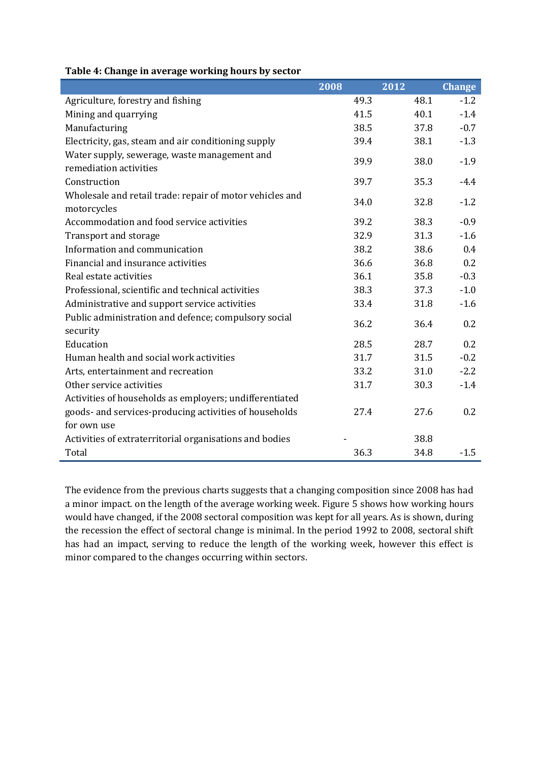|  | Table 4: Change in average working hours by sector |  |
|--|----------------------------------------------------|--|
|  |                                                    |  |

|                                                                         | 2008 | 2012 | <b>Change</b> |
|-------------------------------------------------------------------------|------|------|---------------|
| Agriculture, forestry and fishing                                       | 49.3 | 48.1 | $-1.2$        |
| Mining and quarrying                                                    | 41.5 | 40.1 | $-1.4$        |
| Manufacturing                                                           | 38.5 | 37.8 | $-0.7$        |
| Electricity, gas, steam and air conditioning supply                     | 39.4 | 38.1 | $-1.3$        |
| Water supply, sewerage, waste management and<br>remediation activities  | 39.9 | 38.0 | $-1.9$        |
| Construction                                                            | 39.7 | 35.3 | $-4.4$        |
| Wholesale and retail trade: repair of motor vehicles and<br>motorcycles | 34.0 | 32.8 | $-1.2$        |
| Accommodation and food service activities                               | 39.2 | 38.3 | $-0.9$        |
| Transport and storage                                                   | 32.9 | 31.3 | $-1.6$        |
| Information and communication                                           | 38.2 | 38.6 | 0.4           |
| Financial and insurance activities                                      | 36.6 | 36.8 | 0.2           |
| Real estate activities                                                  | 36.1 | 35.8 | $-0.3$        |
| Professional, scientific and technical activities                       | 38.3 | 37.3 | $-1.0$        |
| Administrative and support service activities                           | 33.4 | 31.8 | $-1.6$        |
| Public administration and defence; compulsory social<br>security        | 36.2 | 36.4 | 0.2           |
| Education                                                               | 28.5 | 28.7 | 0.2           |
| Human health and social work activities                                 | 31.7 | 31.5 | $-0.2$        |
| Arts, entertainment and recreation                                      | 33.2 | 31.0 | $-2.2$        |
| Other service activities                                                | 31.7 | 30.3 | $-1.4$        |
| Activities of households as employers; undifferentiated                 |      |      |               |
| goods- and services-producing activities of households                  | 27.4 | 27.6 | 0.2           |
| for own use                                                             |      |      |               |
| Activities of extraterritorial organisations and bodies                 |      | 38.8 |               |
| Total                                                                   | 36.3 | 34.8 | $-1.5$        |

The evidence from the previous charts suggests that a changing composition since 2008 has had a minor impact. on the length of the average working week. Figure 5 shows how working hours would have changed, if the 2008 sectoral composition was kept for all years. As is shown, during the recession the effect of sectoral change is minimal. In the period 1992 to 2008, sectoral shift has had an impact, serving to reduce the length of the working week, however this effect is minor compared to the changes occurring within sectors.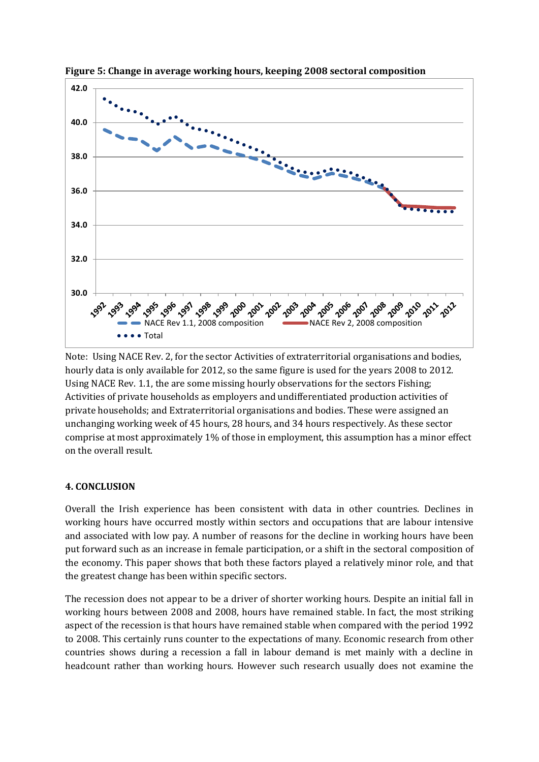

**Figure 5: Change in average working hours, keeping 2008 sectoral composition**

Note: Using NACE Rev. 2, for the sector Activities of extraterritorial organisations and bodies, hourly data is only available for 2012, so the same figure is used for the years 2008 to 2012. Using NACE Rev. 1.1, the are some missing hourly observations for the sectors Fishing; Activities of private households as employers and undifferentiated production activities of private households; and Extraterritorial organisations and bodies. These were assigned an unchanging working week of 45 hours, 28 hours, and 34 hours respectively. As these sector comprise at most approximately 1% of those in employment, this assumption has a minor effect on the overall result.

# **4. CONCLUSION**

Overall the Irish experience has been consistent with data in other countries. Declines in working hours have occurred mostly within sectors and occupations that are labour intensive and associated with low pay. A number of reasons for the decline in working hours have been put forward such as an increase in female participation, or a shift in the sectoral composition of the economy. This paper shows that both these factors played a relatively minor role, and that the greatest change has been within specific sectors.

The recession does not appear to be a driver of shorter working hours. Despite an initial fall in working hours between 2008 and 2008, hours have remained stable. In fact, the most striking aspect of the recession is that hours have remained stable when compared with the period 1992 to 2008. This certainly runs counter to the expectations of many. Economic research from other countries shows during a recession a fall in labour demand is met mainly with a decline in headcount rather than working hours. However such research usually does not examine the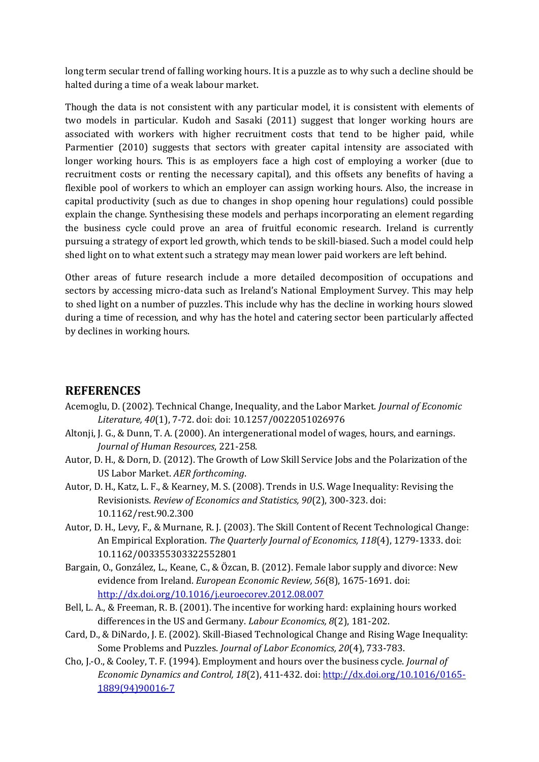long term secular trend of falling working hours. It is a puzzle as to why such a decline should be halted during a time of a weak labour market.

Though the data is not consistent with any particular model, it is consistent with elements of two models in particular. [Kudoh and Sasaki \(2011\)](#page-17-11) suggest that longer working hours are associated with workers with higher recruitment costs that tend to be higher paid, while [Parmentier \(2010\)](#page-18-7) suggests that sectors with greater capital intensity are associated with longer working hours. This is as employers face a high cost of employing a worker (due to recruitment costs or renting the necessary capital), and this offsets any benefits of having a flexible pool of workers to which an employer can assign working hours. Also, the increase in capital productivity (such as due to changes in shop opening hour regulations) could possible explain the change. Synthesising these models and perhaps incorporating an element regarding the business cycle could prove an area of fruitful economic research. Ireland is currently pursuing a strategy of export led growth, which tends to be skill-biased. Such a model could help shed light on to what extent such a strategy may mean lower paid workers are left behind.

Other areas of future research include a more detailed decomposition of occupations and sectors by accessing micro-data such as Ireland's National Employment Survey. This may help to shed light on a number of puzzles. This include why has the decline in working hours slowed during a time of recession, and why has the hotel and catering sector been particularly affected by declines in working hours.

# **REFERENCES**

- <span id="page-16-1"></span>Acemoglu, D. (2002). Technical Change, Inequality, and the Labor Market. *Journal of Economic Literature, 40*(1), 7-72. doi: doi: 10.1257/0022051026976
- <span id="page-16-7"></span>Altonji, J. G., & Dunn, T. A. (2000). An intergenerational model of wages, hours, and earnings. *Journal of Human Resources*, 221-258.
- <span id="page-16-3"></span>Autor, D. H., & Dorn, D. (2012). The Growth of Low Skill Service Jobs and the Polarization of the US Labor Market. *AER forthcoming*.
- <span id="page-16-2"></span>Autor, D. H., Katz, L. F., & Kearney, M. S. (2008). Trends in U.S. Wage Inequality: Revising the Revisionists. *Review of Economics and Statistics, 90*(2), 300-323. doi: 10.1162/rest.90.2.300
- <span id="page-16-8"></span>Autor, D. H., Levy, F., & Murnane, R. J. (2003). The Skill Content of Recent Technological Change: An Empirical Exploration. *The Quarterly Journal of Economics, 118*(4), 1279-1333. doi: 10.1162/003355303322552801
- <span id="page-16-5"></span>Bargain, O., González, L., Keane, C., & Özcan, B. (2012). Female labor supply and divorce: New evidence from Ireland. *European Economic Review, 56*(8), 1675-1691. doi: <http://dx.doi.org/10.1016/j.euroecorev.2012.08.007>
- <span id="page-16-6"></span>Bell, L. A., & Freeman, R. B. (2001). The incentive for working hard: explaining hours worked differences in the US and Germany. *Labour Economics, 8*(2), 181-202.
- <span id="page-16-4"></span>Card, D., & DiNardo, J. E. (2002). Skill‐Biased Technological Change and Rising Wage Inequality: Some Problems and Puzzles. *Journal of Labor Economics, 20*(4), 733-783.
- <span id="page-16-0"></span>Cho, J.-O., & Cooley, T. F. (1994). Employment and hours over the business cycle. *Journal of Economic Dynamics and Control, 18*(2), 411-432. doi[: http://dx.doi.org/10.1016/0165-](http://dx.doi.org/10.1016/0165-1889(94)90016-7) [1889\(94\)90016-7](http://dx.doi.org/10.1016/0165-1889(94)90016-7)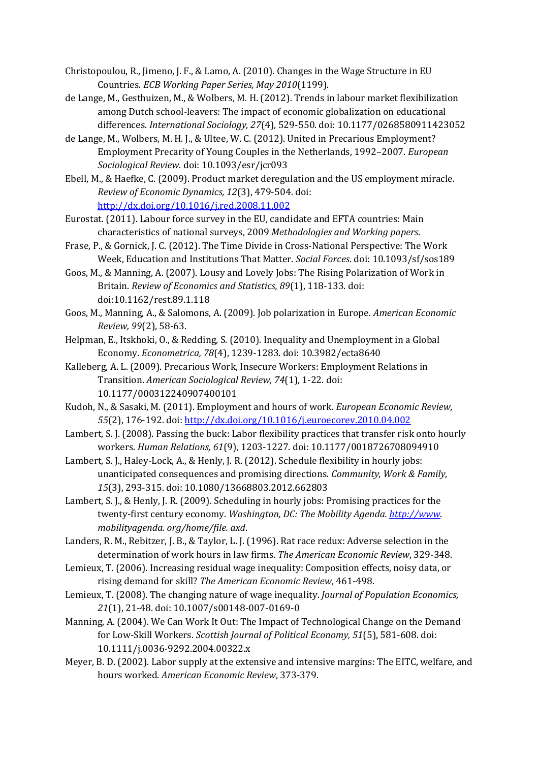- <span id="page-17-8"></span>Christopoulou, R., Jimeno, J. F., & Lamo, A. (2010). Changes in the Wage Structure in EU Countries. *ECB Working Paper Series, May 2010*(1199).
- <span id="page-17-12"></span>de Lange, M., Gesthuizen, M., & Wolbers, M. H. (2012). Trends in labour market flexibilization among Dutch school-leavers: The impact of economic globalization on educational differences. *International Sociology, 27*(4), 529-550. doi: 10.1177/0268580911423052
- <span id="page-17-13"></span>de Lange, M., Wolbers, M. H. J., & Ultee, W. C. (2012). United in Precarious Employment? Employment Precarity of Young Couples in the Netherlands, 1992–2007. *European Sociological Review*. doi: 10.1093/esr/jcr093
- <span id="page-17-1"></span>Ebell, M., & Haefke, C. (2009). Product market deregulation and the US employment miracle. *Review of Economic Dynamics, 12*(3), 479-504. doi: <http://dx.doi.org/10.1016/j.red.2008.11.002>
- <span id="page-17-18"></span>Eurostat. (2011). Labour force survey in the EU, candidate and EFTA countries: Main characteristics of national surveys, 2009 *Methodologies and Working papers*.
- <span id="page-17-0"></span>Frase, P., & Gornick, J. C. (2012). The Time Divide in Cross-National Perspective: The Work Week, Education and Institutions That Matter. *Social Forces*. doi: 10.1093/sf/sos189
- <span id="page-17-6"></span>Goos, M., & Manning, A. (2007). Lousy and Lovely Jobs: The Rising Polarization of Work in Britain. *Review of Economics and Statistics, 89*(1), 118-133. doi: doi:10.1162/rest.89.1.118
- <span id="page-17-7"></span>Goos, M., Manning, A., & Salomons, A. (2009). Job polarization in Europe. *American Economic Review, 99*(2), 58-63.
- <span id="page-17-4"></span>Helpman, E., Itskhoki, O., & Redding, S. (2010). Inequality and Unemployment in a Global Economy. *Econometrica, 78*(4), 1239-1283. doi: 10.3982/ecta8640
- <span id="page-17-17"></span>Kalleberg, A. L. (2009). Precarious Work, Insecure Workers: Employment Relations in Transition. *American Sociological Review, 74*(1), 1-22. doi: 10.1177/000312240907400101
- <span id="page-17-11"></span>Kudoh, N., & Sasaki, M. (2011). Employment and hours of work. *European Economic Review, 55*(2), 176-192. doi:<http://dx.doi.org/10.1016/j.euroecorev.2010.04.002>
- <span id="page-17-15"></span>Lambert, S. J. (2008). Passing the buck: Labor flexibility practices that transfer risk onto hourly workers. *Human Relations, 61*(9), 1203-1227. doi: 10.1177/0018726708094910
- <span id="page-17-14"></span>Lambert, S. J., Haley-Lock, A., & Henly, J. R. (2012). Schedule flexibility in hourly jobs: unanticipated consequences and promising directions. *Community, Work & Family, 15*(3), 293-315. doi: 10.1080/13668803.2012.662803
- <span id="page-17-16"></span>Lambert, S. J., & Henly, J. R. (2009). Scheduling in hourly jobs: Promising practices for the twenty-first century economy. *Washington, DC: The Mobility Agenda. [http://www.](http://www/)  mobilityagenda. org/home/file. axd*.
- <span id="page-17-10"></span>Landers, R. M., Rebitzer, J. B., & Taylor, L. J. (1996). Rat race redux: Adverse selection in the determination of work hours in law firms. *The American Economic Review*, 329-348.
- <span id="page-17-5"></span>Lemieux, T. (2006). Increasing residual wage inequality: Composition effects, noisy data, or rising demand for skill? *The American Economic Review*, 461-498.
- <span id="page-17-2"></span>Lemieux, T. (2008). The changing nature of wage inequality. *Journal of Population Economics, 21*(1), 21-48. doi: 10.1007/s00148-007-0169-0
- <span id="page-17-3"></span>Manning, A. (2004). We Can Work It Out: The Impact of Technological Change on the Demand for Low-Skill Workers. *Scottish Journal of Political Economy, 51*(5), 581-608. doi: 10.1111/j.0036-9292.2004.00322.x
- <span id="page-17-9"></span>Meyer, B. D. (2002). Labor supply at the extensive and intensive margins: The EITC, welfare, and hours worked. *American Economic Review*, 373-379.